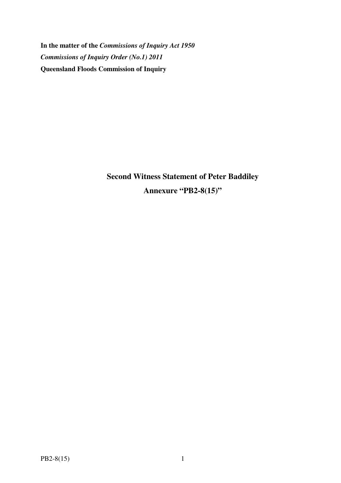**In the matter of the** *Commissions of Inquiry Act 1950 Commissions of Inquiry Order (No.1) 2011* **Queensland Floods Commission of Inquiry** 

> **Second Witness Statement of Peter Baddiley Annexure "PB2-8(15)"**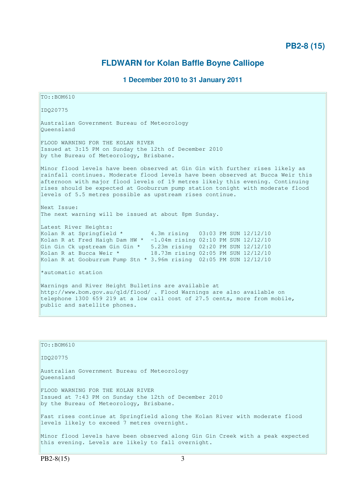## **PB2-8 (15)**

## **FLDWARN for Kolan Baffle Boyne Calliope**

### **1 December 2010 to 31 January 2011**

TO::BOM610 IDQ20775 Australian Government Bureau of Meteorology Queensland FLOOD WARNING FOR THE KOLAN RIVER Issued at 3:15 PM on Sunday the 12th of December 2010 by the Bureau of Meteorology, Brisbane. Minor flood levels have been observed at Gin Gin with further rises likely as rainfall continues. Moderate flood levels have been observed at Bucca Weir this afternoon with major flood levels of 19 metres likely this evening. Continuing rises should be expected at Gooburrum pump station tonight with moderate flood levels of 5.5 metres possible as upstream rises continue. Next Issue: The next warning will be issued at about 8pm Sunday. Latest River Heights: Kolan R at Springfield \* 4.3m rising 03:03 PM SUN 12/12/10 Kolan R at Fred Haigh Dam HW  $\star$  -1.04m rising 02:10 PM SUN 12/12/10 Gin Gin Ck upstream Gin Gin \* 5.23m rising 02:20 PM SUN 12/12/10 Kolan R at Bucca Weir \* 18.73m rising 02:05 PM SUN 12/12/10 Kolan R at Gooburrum Pump Stn \* 3.96m rising 02:05 PM SUN 12/12/10 \*automatic station Warnings and River Height Bulletins are available at http://www.bom.gov.au/qld/flood/ . Flood Warnings are also available on telephone 1300 659 219 at a low call cost of 27.5 cents, more from mobile, public and satellite phones.

TO::BOM610 IDQ20775 Australian Government Bureau of Meteorology Queensland FLOOD WARNING FOR THE KOLAN RIVER Issued at 7:43 PM on Sunday the 12th of December 2010 by the Bureau of Meteorology, Brisbane. Fast rises continue at Springfield along the Kolan River with moderate flood levels likely to exceed 7 metres overnight. Minor flood levels have been observed along Gin Gin Creek with a peak expected this evening. Levels are likely to fall overnight.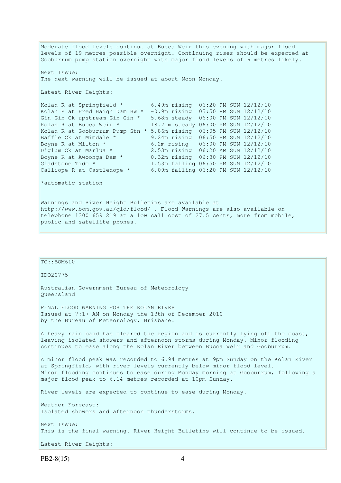Moderate flood levels continue at Bucca Weir this evening with major flood levels of 19 metres possible overnight. Continuing rises should be expected at Gooburrum pump station overnight with major flood levels of 6 metres likely. Next Issue: The next warning will be issued at about Noon Monday. Latest River Heights: Kolan R at Springfield  $\star$  6.49m rising 06:20 PM SUN 12/12/10 Kolan R at Fred Haigh Dam HW \* -0.9m rising 05:50 PM SUN 12/12/10 Gin Gin Ck upstream Gin Gin \* 5.68m steady 06:00 PM SUN 12/12/10 Kolan R at Bucca Weir \* 18.71m steady 06:00 PM SUN 12/12/10 Kolan R at Gooburrum Pump Stn \* 5.86m rising 06:05 PM SUN 12/12/10 Baffle Ck at Mimdale  $*$  9.24m rising 06:50 PM SUN 12/12/10 Boyne R at Milton \* 6.2m rising 06:00 PM SUN 12/12/10<br>Diglum Ck at Marlua \* 2.53m rising 06:20 AM SUN 12/12/10 2.53m rising 06:20 AM SUN 12/12/10 Boyne R at Awoonga Dam \* 0.32m rising 06:30 PM SUN 12/12/10 Gladstone Tide \* 1.53m falling 06:50 PM SUN 12/12/10 Calliope R at Castlehope  $*$  6.09m falling 06:20 PM SUN 12/12/10 \*automatic station Warnings and River Height Bulletins are available at http://www.bom.gov.au/qld/flood/ . Flood Warnings are also available on telephone 1300 659 219 at a low call cost of 27.5 cents, more from mobile, public and satellite phones.

| TO: : BOM610                                                                                                                                                                                                                                                                                            |
|---------------------------------------------------------------------------------------------------------------------------------------------------------------------------------------------------------------------------------------------------------------------------------------------------------|
| ID020775                                                                                                                                                                                                                                                                                                |
| Australian Government Bureau of Meteorology<br>Oueensland                                                                                                                                                                                                                                               |
| FINAL FLOOD WARNING FOR THE KOLAN RIVER<br>Issued at 7:17 AM on Monday the 13th of December 2010<br>by the Bureau of Meteorology, Brisbane.                                                                                                                                                             |
| A heavy rain band has cleared the region and is currently lying off the coast,<br>leaving isolated showers and afternoon storms during Monday. Minor flooding<br>continues to ease along the Kolan River between Bucca Weir and Gooburrum.                                                              |
| A minor flood peak was recorded to 6.94 metres at 9pm Sunday on the Kolan River<br>at Springfield, with river levels currently below minor flood level.<br>Minor flooding continues to ease during Monday morning at Gooburrum, following a<br>major flood peak to 6.14 metres recorded at 10pm Sunday. |
| River levels are expected to continue to ease during Monday.                                                                                                                                                                                                                                            |
| Weather Forecast:<br>Isolated showers and afternoon thunderstorms.                                                                                                                                                                                                                                      |
| Next Issue:<br>This is the final warning. River Height Bulletins will continue to be issued.                                                                                                                                                                                                            |
| Latest River Heights:                                                                                                                                                                                                                                                                                   |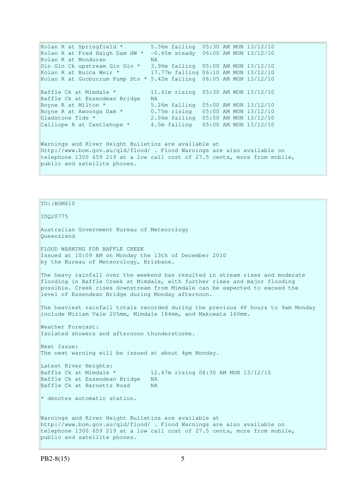Kolan R at Springfield \* 5.36m falling 05:30 AM MON 13/12/10 Kolan R at Fred Haigh Dam HW  $* -0.45$ m steady 06:00 AM MON 13/12/10 Kolan R at Monduran NA Gin Gin Ck upstream Gin Gin \* 3.96m falling 05:00 AM MON 13/12/10 Kolan R at Bucca Weir \* 17.77m falling 06:10 AM MON 13/12/10 Kolan R at Gooburrum Pump Stn \* 5.42m falling 06:05 AM MON 13/12/10 Baffle Ck at Mimdale \* 11.41m rising 05:30 AM MON 13/12/10 Baffle Ck at Essendean Bridge NA Boyne R at Milton \* 5.26m falling 05:00 AM MON 13/12/10 Boyne R at Awoonga Dam \* 0.75m rising 05:00 AM MON 13/12/10 Gladstone Tide \* 2.04m falling 05:50 AM MON 13/12/10 Calliope R at Castlehope  $*$  4.5m falling 05:00 AM MON 13/12/10 Warnings and River Height Bulletins are available at http://www.bom.gov.au/qld/flood/ . Flood Warnings are also available on telephone 1300 659 219 at a low call cost of 27.5 cents, more from mobile, public and satellite phones.

 $TO: : BOM610$ 

IDQ20775

Australian Government Bureau of Meteorology Queensland

FLOOD WARNING FOR BAFFLE CREEK Issued at 10:09 AM on Monday the 13th of December 2010 by the Bureau of Meteorology, Brisbane.

The heavy rainfall over the weekend has resulted in stream rises and moderate flooding in Baffle Creek at Mimdale, with further rises and major flooding possible. Creek rises downstream from Mimdale can be expected to exceed the level of Essendean Bridge during Monday afternoon.

The heaviest rainfall totals recorded during the previous 48 hours to 9am Monday include Miriam Vale 205mm, Mimdale 184mm, and Makowata 160mm.

Weather Forecast: Isolated showers and afternoon thunderstorms.

Next Issue: The next warning will be issued at about 4pm Monday.

Latest River Heights: Baffle Ck at Mimdale \* 12.47m rising 08:30 AM MON 13/12/10 Baffle Ck at Essendean Bridge NA Baffle Ck at Barnetts Road NA

 $*$  denotes automatic station.

Warnings and River Height Bulletins are available at http://www.bom.gov.au/qld/flood/ . Flood Warnings are also available on telephone 1300 659 219 at a low call cost of 27.5 cents, more from mobile, public and satellite phones.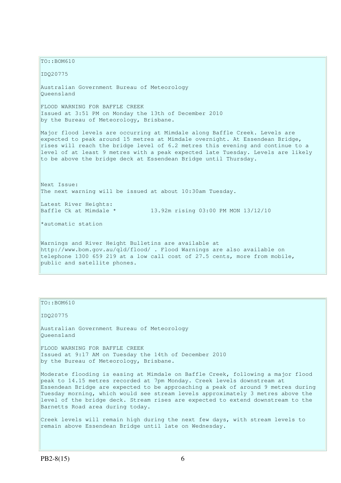$TO: **ROM610**$ 

IDQ20775

Australian Government Bureau of Meteorology Queensland

FLOOD WARNING FOR BAFFLE CREEK Issued at 3:51 PM on Monday the 13th of December 2010 by the Bureau of Meteorology, Brisbane.

Major flood levels are occurring at Mimdale along Baffle Creek. Levels are expected to peak around 15 metres at Mimdale overnight. At Essendean Bridge, rises will reach the bridge level of 6.2 metres this evening and continue to a level of at least 9 metres with a peak expected late Tuesday. Levels are likely to be above the bridge deck at Essendean Bridge until Thursday.

Next Issue: The next warning will be issued at about 10:30am Tuesday.

Latest River Heights:

Baffle Ck at Mimdale \* 13.92m rising 03:00 PM MON 13/12/10

\*automatic station

Warnings and River Height Bulletins are available at http://www.bom.gov.au/qld/flood/ . Flood Warnings are also available on telephone 1300 659 219 at a low call cost of 27.5 cents, more from mobile, public and satellite phones.

TO::BOM610

IDQ20775

Australian Government Bureau of Meteorology Queensland

FLOOD WARNING FOR BAFFLE CREEK Issued at 9:17 AM on Tuesday the 14th of December 2010 by the Bureau of Meteorology, Brisbane.

Moderate flooding is easing at Mimdale on Baffle Creek, following a major flood peak to 14.15 metres recorded at 7pm Monday. Creek levels downstream at Essendean Bridge are expected to be approaching a peak of around 9 metres during Tuesday morning, which would see stream levels approximately 3 metres above the level of the bridge deck. Stream rises are expected to extend downstream to the Barnetts Road area during today.

Creek levels will remain high during the next few days, with stream levels to remain above Essendean Bridge until late on Wednesday.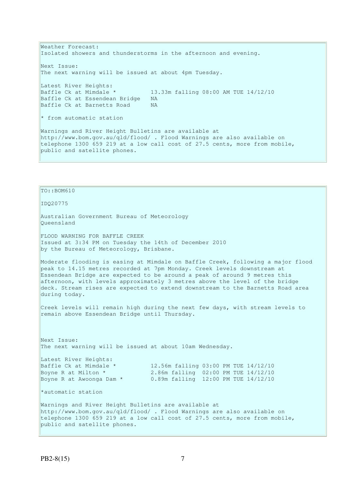Weather Forecast: Isolated showers and thunderstorms in the afternoon and evening. Next Issue: The next warning will be issued at about 4pm Tuesday. Latest River Heights: Baffle Ck at Mimdale \* 13.33m falling 08:00 AM TUE 14/12/10 Baffle Ck at Essendean Bridge NA Baffle Ck at Barnetts Road NA \* from automatic station Warnings and River Height Bulletins are available at http://www.bom.gov.au/qld/flood/ . Flood Warnings are also available on telephone 1300 659 219 at a low call cost of 27.5 cents, more from mobile, public and satellite phones.

TO::BOM610 IDQ20775 Australian Government Bureau of Meteorology Queensland FLOOD WARNING FOR BAFFLE CREEK Issued at 3:34 PM on Tuesday the 14th of December 2010 by the Bureau of Meteorology, Brisbane. Moderate flooding is easing at Mimdale on Baffle Creek, following a major flood peak to 14.15 metres recorded at 7pm Monday. Creek levels downstream at Essendean Bridge are expected to be around a peak of around 9 metres this afternoon, with levels approximately 3 metres above the level of the bridge deck. Stream rises are expected to extend downstream to the Barnetts Road area during today. Creek levels will remain high during the next few days, with stream levels to remain above Essendean Bridge until Thursday. Next Issue: The next warning will be issued at about 10am Wednesday. Latest River Heights:<br>Baffle Ck at Mimdale \*<br>Boyne R at Milton \* 12.56m falling 03:00 PM TUE 14/12/10 2.86m falling 02:00 PM TUE 14/12/10 0.89m falling 12:00 PM TUE 14/12/10 Boyne R at Awoonga Dam \* \*automatic station Warnings and River Height Bulletins are available at http://www.bom.gov.au/qld/flood/ . Flood Warnings are also available on telephone 1300 659 219 at a low call cost of 27.5 cents, more from mobile, public and satellite phones.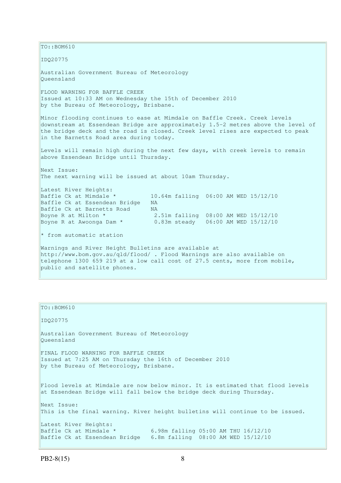TO::BOM610 IDQ20775 Australian Government Bureau of Meteorology Queensland FLOOD WARNING FOR BAFFLE CREEK Issued at 10:33 AM on Wednesday the 15th of December 2010 by the Bureau of Meteorology, Brisbane. Minor flooding continues to ease at Mimdale on Baffle Creek. Creek levels downstream at Essendean Bridge are approximately 1.5-2 metres above the level of the bridge deck and the road is closed. Creek level rises are expected to peak in the Barnetts Road area during today. Levels will remain high during the next few days, with creek levels to remain above Essendean Bridge until Thursday. Next Issue: The next warning will be issued at about 10am Thursday. Latest River Heights: Baffle Ck at Mimdale  $\star$  10.64m falling 06:00 AM WED 15/12/10<br>Baffle Ck at Essendean Bridge NA Baffle Ck at Essendean Bridge Baffle Ck at Barnetts Road MA Boyne R at Milton \* 2.51m falling 08:00 AM WED 15/12/10 Boyne R at Awoonga Dam \* 0.83m steady 06:00 AM WED 15/12/10  $*$  from automatic station Warnings and River Height Bulletins are available at http://www.bom.gov.au/qld/flood/ . Flood Warnings are also available on telephone 1300 659 219 at a low call cost of 27.5 cents, more from mobile, public and satellite phones.

# TO::BOM610 IDQ20775 Australian Government Bureau of Meteorology Queensland FINAL FLOOD WARNING FOR BAFFLE CREEK Issued at 7:25 AM on Thursday the 16th of December 2010 by the Bureau of Meteorology, Brisbane. Flood levels at Mimdale are now below minor. It is estimated that flood levels at Essendean Bridge will fall below the bridge deck during Thursday. Next Issue: This is the final warning. River height bulletins will continue to be issued. Latest River Heights: Baffle Ck at Mimdale \* 6.98m falling 05:00 AM THU 16/12/10 Baffle Ck at Essendean Bridge 6.8m falling 08:00 AM WED 15/12/10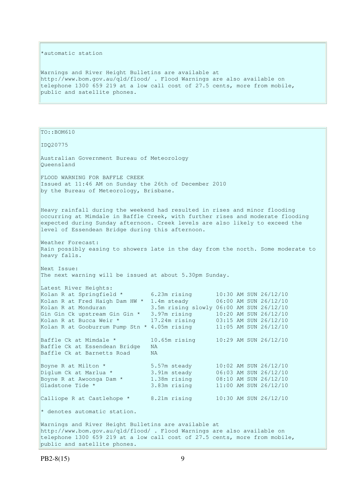#### \*automatic station

Warnings and River Height Bulletins are available at http://www.bom.gov.au/qld/flood/ . Flood Warnings are also available on telephone 1300 659 219 at a low call cost of 27.5 cents, more from mobile, public and satellite phones.

TO::BOM610

IDQ20775

Australian Government Bureau of Meteorology Queensland FLOOD WARNING FOR BAFFLE CREEK Issued at 11:46 AM on Sunday the 26th of December 2010

by the Bureau of Meteorology, Brisbane.

Heavy rainfall during the weekend had resulted in rises and minor flooding occurring at Mimdale in Baffle Creek, with further rises and moderate flooding expected during Sunday afternoon. Creek levels are also likely to exceed the level of Essendean Bridge during this afternoon.

Weather Forecast: Rain possibly easing to showers late in the day from the north. Some moderate to heavy falls.

Next Issue: The next warning will be issued at about 5.30pm Sunday.

| Latest River Heights:                        |                                          |  |                       |
|----------------------------------------------|------------------------------------------|--|-----------------------|
| Kolan R at Springfield *                     | $6.23m$ rising                           |  | 10:30 AM SUN 26/12/10 |
| Kolan R at Fred Haigh Dam HW *               | 1.4m steady                              |  | 06:00 AM SUN 26/12/10 |
| Kolan R at Monduran                          | 3.5m rising slowly 06:00 AM SUN 26/12/10 |  |                       |
| Gin Gin Ck upstream Gin Gin *                | 3.97m rising                             |  | 10:20 AM SUN 26/12/10 |
| Kolan R at Bucca Weir *                      | 17.24m rising                            |  | 03:15 AM SUN 26/12/10 |
| Kolan R at Gooburrum Pump Stn * 4.05m rising |                                          |  | 11:05 AM SUN 26/12/10 |
|                                              |                                          |  |                       |
| Baffle Ck at Mimdale *                       | $10.65m$ rising                          |  | 10:29 AM SUN 26/12/10 |
| Baffle Ck at Essendean Bridge                | NA.                                      |  |                       |
| Baffle Ck at Barnetts Road                   | NA.                                      |  |                       |
|                                              |                                          |  |                       |
| Boyne R at Milton *                          | 5.57m steady                             |  | 10:02 AM SUN 26/12/10 |
| Diglum Ck at Marlua *                        | 3.91m steady                             |  | 06:03 AM SUN 26/12/10 |
| Boyne R at Awoonga Dam *                     | 1.38m rising                             |  | 08:10 AM SUN 26/12/10 |
| Gladstone Tide *                             | 3.83m rising                             |  | 11:00 AM SUN 26/12/10 |
|                                              |                                          |  |                       |
| Calliope R at Castlehope *                   | 8.21m rising                             |  | 10:30 AM SUN 26/12/10 |
|                                              |                                          |  |                       |
| * denotes automatic station.                 |                                          |  |                       |

Warnings and River Height Bulletins are available at http://www.bom.gov.au/qld/flood/ . Flood Warnings are also available on telephone 1300 659 219 at a low call cost of 27.5 cents, more from mobile, public and satellite phones.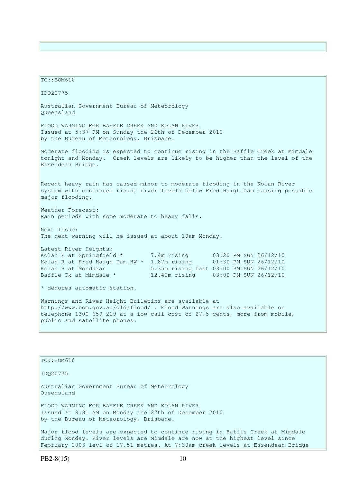TO::BOM610 IDQ20775 Australian Government Bureau of Meteorology Queensland FLOOD WARNING FOR BAFFLE CREEK AND KOLAN RIVER Issued at 5:37 PM on Sunday the 26th of December 2010 by the Bureau of Meteorology, Brisbane. Moderate flooding is expected to continue rising in the Baffle Creek at Mimdale tonight and Monday. Creek levels are likely to be higher than the level of the Essendean Bridge. Recent heavy rain has caused minor to moderate flooding in the Kolan River system with continued rising river levels below Fred Haigh Dam causing possible major flooding. Weather Forecast: Rain periods with some moderate to heavy falls. Next Issue: The next warning will be issued at about 10am Monday. Latest River Heights: Kolan R at Springfield \* 7.4m rising 03:20 PM SUN 26/12/10 Kolan R at Fred Haigh Dam HW \* 1.87m rising 01:30 PM SUN 26/12/10 Kolan R at Monduran 5.35m rising fast 03:00 PM SUN 26/12/10 Baffle Ck at Mimdale \* 12.42m rising 03:00 PM SUN 26/12/10 \* denotes automatic station. Warnings and River Height Bulletins are available at http://www.bom.gov.au/qld/flood/ . Flood Warnings are also available on telephone 1300 659 219 at a low call cost of 27.5 cents, more from mobile, public and satellite phones.

TO::BOM610 IDQ20775 Australian Government Bureau of Meteorology Queensland FLOOD WARNING FOR BAFFLE CREEK AND KOLAN RIVER Issued at 8:31 AM on Monday the 27th of December 2010 by the Bureau of Meteorology, Brisbane. Major flood levels are expected to continue rising in Baffle Creek at Mimdale during Monday. River levels are Mimdale are now at the highest level since February 2003 levl of 17.51 metres. At 7:30am creek levels at Essendean Bridge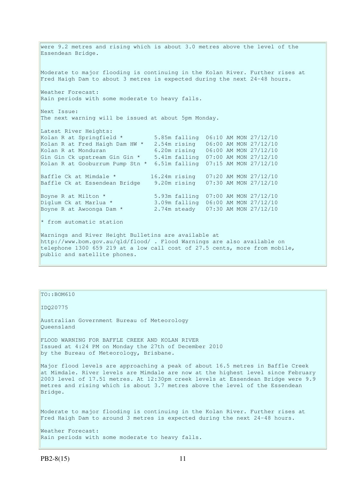were 9.2 metres and rising which is about 3.0 metres above the level of the Essendean Bridge. Moderate to major flooding is continuing in the Kolan River. Further rises at Fred Haigh Dam to about 3 metres is expected during the next 24-48 hours. Weather Forecast: Rain periods with some moderate to heavy falls. Next Issue: The next warning will be issued at about 5pm Monday. Latest River Heights: Kolan R at Springfield \* 5.85m falling 06:10 AM MON 27/12/10 Kolan R at Fred Haigh Dam HW \* 2.54m rising 06:00 AM MON 27/12/10 Kolan R at Monduran 6.20m rising 06:00 AM MON 27/12/10 Gin Gin Ck upstream Gin Gin \* 5.41m falling 07:00 AM MON 27/12/10 Kolan R at Gooburrum Pump Stn \* 6.51m falling 07:15 AM MON 27/12/10 Baffle Ck at Mimdale \* 16.24m rising 07:20 AM MON 27/12/10 Baffle Ck at Essendean Bridge 9.20m rising 07:30 AM MON 27/12/10 Boyne R at Milton \* 5.93m falling 07:00 AM MON 27/12/10 Diglum Ck at Marlua \* 3.09m falling 06:00 AM MON 27/12/10 Boyne R at Awoonga Dam \* 2.74m steady 07:30 AM MON 27/12/10  $*$  from automatic station Warnings and River Height Bulletins are available at http://www.bom.gov.au/qld/flood/ . Flood Warnings are also available on telephone 1300 659 219 at a low call cost of 27.5 cents, more from mobile, public and satellite phones.

### TO::BOM610

IDQ20775

Australian Government Bureau of Meteorology Queensland

FLOOD WARNING FOR BAFFLE CREEK AND KOLAN RIVER Issued at 4:24 PM on Monday the 27th of December 2010 by the Bureau of Meteorology, Brisbane.

Major flood levels are approaching a peak of about 16.5 metres in Baffle Creek at Mimdale. River levels are Mimdale are now at the highest level since February 2003 level of 17.51 metres. At 12:30pm creek levels at Essendean Bridge were 9.9 metres and rising which is about 3.7 metres above the level of the Essendean Bridge.

Moderate to major flooding is continuing in the Kolan River. Further rises at Fred Haigh Dam to around 3 metres is expected during the next 24-48 hours.

Weather Forecast: Rain periods with some moderate to heavy falls.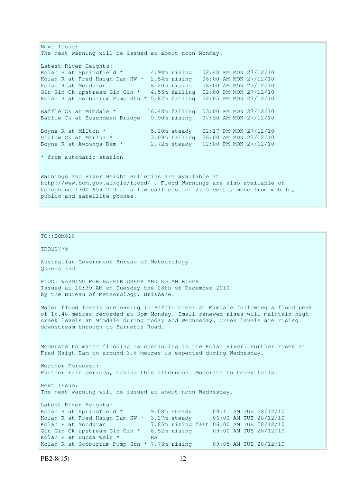Next Issue: The next warning will be issued at about noon Monday. Latest River Heights: Kolan R at Springfield \* 4.98m rising 02:48 PM MON 27/12/10 Kolan R at Fred Haigh Dam HW \* 2.54m rising 06:00 AM MON 27/12/10 Kolan R at Monduran 6.20m rising 06:00 AM MON 27/12/10 Gin Gin Ck upstream Gin Gin \* 4.55m falling 02:00 PM MON 27/12/10 Kolan R at Gooburrum Pump Stn \* 5.87m falling 02:05 PM MON 27/12/10 Baffle Ck at Mimdale \* 16.48m falling 03:00 PM MON 27/12/10 Baffle Ck at Essendean Bridge 9.90m rising 07:30 AM MON 27/12/10 Boyne R at Milton \* 5.20m steady 02:17 PM MON 27/12/10 Diglum Ck at Marlua \* 3.09m falling 06:00 AM MON 27/12/10 Boyne R at Awoonga Dam \* 2.72m steady 12:00 PM MON 27/12/10  $*$  from automatic station Warnings and River Height Bulletins are available at http://www.bom.gov.au/qld/flood/ . Flood Warnings are also available on telephone 1300 659 219 at a low call cost of 27.5 cents, more from mobile, public and satellite phones.

```
TO::BOM610 
IDQ20775 
Australian Government Bureau of Meteorology 
Queensland 
FLOOD WARNING FOR BAFFLE CREEK AND KOLAN RIVER 
Issued at 10:39 AM on Tuesday the 28th of December 2010 
by the Bureau of Meteorology, Brisbane.
Major flood levels are easing in Baffle Creek at Mimdale following a flood peak 
of 16.48 metres recorded at 3pm Monday. Small renewed rises will maintain high 
creek levels at Mimdale during today and Wednesday. Creek levels are rising 
downstream through to Barnetts Road.
Moderate to major flooding is continuing in the Kolan River. Further rises at 
Fred Haigh Dam to around 3.6 metres is expected during Wednesday. 
Weather Forecast: 
Further rain periods, easing this afternoon. Moderate to heavy falls. 
Next Issue: 
The next warning will be issued at about noon Wednesday. 
Latest River Heights:
Kolan R at Springfield * 9.08m steady 09:11 AM TUE 28/12/10<br>Kolan R at Fred Haigh Dam HW * 3.27m steady 06:00 AM TUE 28/12/10
Kolan R at Fred Haigh Dam HW * 3.27m steady
Kolan R at Monduran 7.85m rising fast 06:00 AM TUE 28/12/10 
Gin Gin Ck upstream Gin Gin * 8.52m rising 09:00 AM TUE 28/12/10
Kolan R at Bucca Weir * NA
Kolan R at Gooburrum Pump Stn * 7.73m rising 09:05 AM TUE 28/12/10
```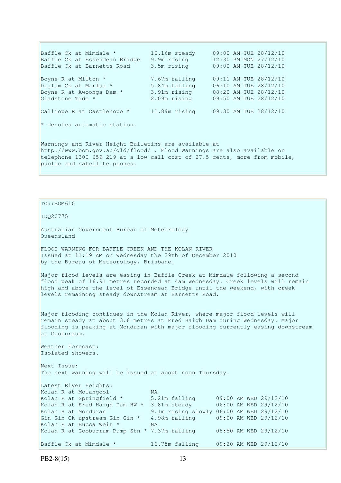Baffle Ck at Mimdale \* 16.16m steady 09:00 AM TUE 28/12/10 Baffle Ck at Essendean Bridge 9.9m rising 12:30 PM MON 27/12/10 Baffle Ck at Barnetts Road 3.5m rising 09:00 AM TUE 28/12/10 Boyne R at Milton \* 7.67m falling 09:11 AM TUE 28/12/10 Diglum Ck at Marlua \* 5.84m falling 06:10 AM TUE 28/12/10 Boyne R at Awoonga Dam \* 3.91m rising 08:20 AM TUE 28/12/10 Gladstone Tide \* 2.09m rising 09:50 AM TUE 28/12/10 Calliope R at Castlehope  $*$  11.89m rising 09:30 AM TUE 28/12/10 \* denotes automatic station. Warnings and River Height Bulletins are available at http://www.bom.gov.au/qld/flood/ . Flood Warnings are also available on telephone 1300 659 219 at a low call cost of 27.5 cents, more from mobile, public and satellite phones.

 $TO: : BOM610$ IDQ20775 Australian Government Bureau of Meteorology Queensland FLOOD WARNING FOR BAFFLE CREEK AND THE KOLAN RIVER Issued at 11:19 AM on Wednesday the 29th of December 2010 by the Bureau of Meteorology, Brisbane. Major flood levels are easing in Baffle Creek at Mimdale following a second flood peak of 16.91 metres recorded at 4am Wednesday. Creek levels will remain high and above the level of Essendean Bridge until the weekend, with creek levels remaining steady downstream at Barnetts Road. Major flooding continues in the Kolan River, where major flood levels will remain steady at about 3.8 metres at Fred Haigh Dam during Wednesday. Major flooding is peaking at Monduran with major flooding currently easing downstream at Gooburrum. Weather Forecast: Isolated showers. Next Issue: The next warning will be issued at about noon Thursday. Latest River Heights: Kolan R at Molangool MA<br>Kolan R at Springfield \* 5. 5.21m falling 09:00 AM WED 29/12/10<br>3.81m steady 06:00 AM WED 29/12/10 Kolan R at Fred Haigh Dam HW  $*$  3.81m steady Kolan R at Monduran **9.1m** rising slowly 06:00 AM WED 29/12/10 Gin Gin Ck upstream Gin Gin \* 4.98m falling 09:00 AM WED 29/12/10<br>Kolan R at Bucca Weir \* NA Kolan R at Bucca Weir \* Kolan R at Gooburrum Pump Stn  $*$  7.37m falling 08:50 AM WED 29/12/10 Baffle Ck at Mimdale \* 16.75m falling 09:20 AM WED 29/12/10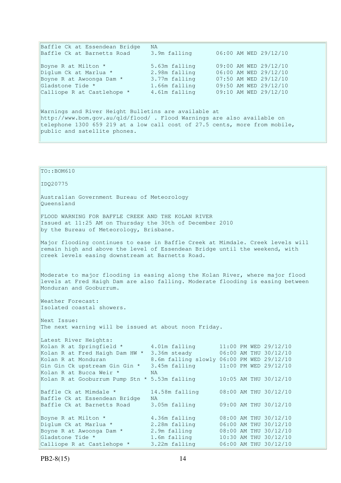| Baffle Ck at Essendean Bridge                                              | NA.           |                       |  |  |  |  |
|----------------------------------------------------------------------------|---------------|-----------------------|--|--|--|--|
| Baffle Ck at Barnetts Road                                                 | 3.9m falling  | 06:00 AM WED 29/12/10 |  |  |  |  |
| Boyne R at Milton *                                                        | 5.63m falling | 09:00 AM WED 29/12/10 |  |  |  |  |
| Diglum Ck at Marlua *                                                      | 2.98m falling | 06:00 AM WED 29/12/10 |  |  |  |  |
| Boyne R at Awoonga Dam *                                                   | 3.77m falling | 07:50 AM WED 29/12/10 |  |  |  |  |
| Gladstone Tide *                                                           | 1.66m falling | 09:50 AM WED 29/12/10 |  |  |  |  |
| Calliope R at Castlehope *                                                 | 4.61m falling | 09:10 AM WED 29/12/10 |  |  |  |  |
|                                                                            |               |                       |  |  |  |  |
| Warnings and River Height Bulletins are available at                       |               |                       |  |  |  |  |
| http://www.bom.gov.au/gld/flood/. Flood Warnings are also available on     |               |                       |  |  |  |  |
| telephone 1300 659 219 at a low call cost of 27.5 cents, more from mobile, |               |                       |  |  |  |  |

public and satellite phones.

| $TO: BOM610$                                                                                                                                                                                                            |                                                                                 |                                                                                                                                               |  |  |  |  |
|-------------------------------------------------------------------------------------------------------------------------------------------------------------------------------------------------------------------------|---------------------------------------------------------------------------------|-----------------------------------------------------------------------------------------------------------------------------------------------|--|--|--|--|
| IDQ20775                                                                                                                                                                                                                |                                                                                 |                                                                                                                                               |  |  |  |  |
| Australian Government Bureau of Meteorology<br>Oueensland                                                                                                                                                               |                                                                                 |                                                                                                                                               |  |  |  |  |
| FLOOD WARNING FOR BAFFLE CREEK AND THE KOLAN RIVER<br>Issued at 11:25 AM on Thursday the 30th of December 2010<br>by the Bureau of Meteorology, Brisbane.                                                               |                                                                                 |                                                                                                                                               |  |  |  |  |
| Major flooding continues to ease in Baffle Creek at Mimdale. Creek levels will<br>remain high and above the level of Essendean Bridge until the weekend, with<br>creek levels easing downstream at Barnetts Road.       |                                                                                 |                                                                                                                                               |  |  |  |  |
| Moderate to major flooding is easing along the Kolan River, where major flood<br>levels at Fred Haigh Dam are also falling. Moderate flooding is easing between<br>Monduran and Gooburrum.                              |                                                                                 |                                                                                                                                               |  |  |  |  |
| Weather Forecast:<br>Isolated coastal showers.                                                                                                                                                                          |                                                                                 |                                                                                                                                               |  |  |  |  |
| Next Issue:<br>The next warning will be issued at about noon Friday.                                                                                                                                                    |                                                                                 |                                                                                                                                               |  |  |  |  |
| Latest River Heights:<br>Kolan R at Springfield *<br>Kolan R at Fred Haigh Dam HW *<br>Kolan R at Monduran<br>Gin Gin Ck upstream Gin Gin *<br>Kolan R at Bucca Weir *<br>Kolan R at Gooburrum Pump Stn * 5.53m falling | 4.01m falling<br>3.36m steady<br>3.45m falling<br><b>NA</b>                     | 11:00 PM WED 29/12/10<br>06:00 AM THU 30/12/10<br>8.6m falling slowly 06:00 PM WED 29/12/10<br>11:00 PM WED 29/12/10<br>10:05 AM THU 30/12/10 |  |  |  |  |
| Baffle Ck at Mimdale *<br>Baffle Ck at Essendean Bridge<br>Baffle Ck at Barnetts Road                                                                                                                                   | 14.58m falling<br>NA<br>3.05m falling                                           | 08:00 AM THU 30/12/10<br>09:00 AM THU 30/12/10                                                                                                |  |  |  |  |
| Boyne R at Milton *<br>Diglum Ck at Marlua *<br>Boyne R at Awoonga Dam *<br>Gladstone Tide *<br>Calliope R at Castlehope *                                                                                              | 4.36m falling<br>2.28m falling<br>2.9m falling<br>1.6m falling<br>3.22m falling | 08:00 AM THU 30/12/10<br>06:00 AM THU 30/12/10<br>08:00 AM THU 30/12/10<br>10:30 AM THU 30/12/10<br>06:00 AM THU 30/12/10                     |  |  |  |  |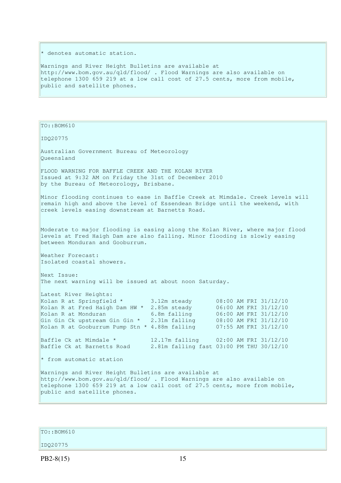\* denotes automatic station.

Warnings and River Height Bulletins are available at http://www.bom.gov.au/qld/flood/ . Flood Warnings are also available on telephone 1300 659 219 at a low call cost of 27.5 cents, more from mobile, public and satellite phones.

TO::BOM610 IDQ20775 Australian Government Bureau of Meteorology Queensland FLOOD WARNING FOR BAFFLE CREEK AND THE KOLAN RIVER Issued at 9:32 AM on Friday the 31st of December 2010 by the Bureau of Meteorology, Brisbane. Minor flooding continues to ease in Baffle Creek at Mimdale. Creek levels will remain high and above the level of Essendean Bridge until the weekend, with creek levels easing downstream at Barnetts Road. Moderate to major flooding is easing along the Kolan River, where major flood levels at Fred Haigh Dam are also falling. Minor flooding is slowly easing between Monduran and Gooburrum. Weather Forecast: Isolated coastal showers. Next Issue: The next warning will be issued at about noon Saturday. Latest River Heights: Kolan R at Springfield \* 3.12m steady 08:00 AM FRI 31/12/10 Kolan R at Fred Haigh Dam HW \* 2.85m steady 06:00 AM FRI 31/12/10 Kolan R at Monduran 6.8m falling 06:00 AM FRI 31/12/10 Gin Gin Ck upstream Gin  $\frac{x}{2.31m}$  falling 08:00 AM FRI 31/12/10 Kolan R at Gooburrum Pump Stn  $*$  4.88m falling 07:55 AM FRI 31/12/10 Baffle Ck at Mimdale  $*$  12.17m falling 02:00 AM FRI 31/12/10 Baffle Ck at Barnetts Road 2.81m falling fast 03:00 PM THU 30/12/10 \* from automatic station Warnings and River Height Bulletins are available at http://www.bom.gov.au/qld/flood/ . Flood Warnings are also available on telephone 1300 659 219 at a low call cost of 27.5 cents, more from mobile, public and satellite phones.

 $TO: **ROM610**$ 

IDQ20775